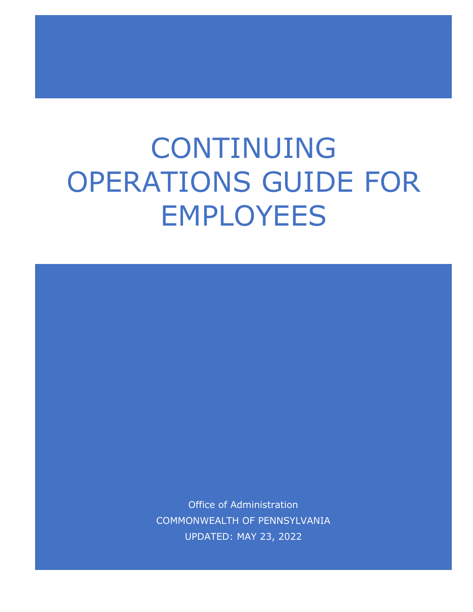# CONTINUING OPERATIONS GUIDE FOR EMPLOYEES

Office of Administration COMMONWEALTH OF PENNSYLVANIA UPDATED: MAY 23, 2022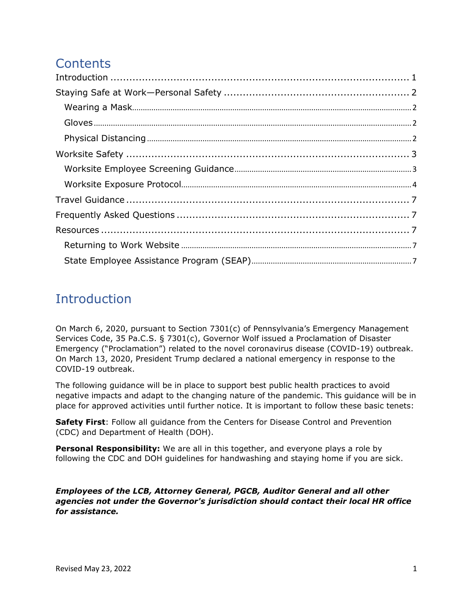# **Contents**

# <span id="page-1-0"></span>Introduction

On March 6, 2020, pursuant to Section 7301(c) of Pennsylvania's Emergency Management Services Code, 35 Pa.C.S. § 7301(c), Governor Wolf issued a Proclamation of Disaster Emergency ("Proclamation") related to the novel coronavirus disease (COVID-19) outbreak. On March 13, 2020, President Trump declared a national emergency in response to the COVID-19 outbreak.

The following guidance will be in place to support best public health practices to avoid negative impacts and adapt to the changing nature of the pandemic. This guidance will be in place for approved activities until further notice. It is important to follow these basic tenets:

**Safety First**: Follow all guidance from the Centers for Disease Control and Prevention (CDC) and Department of Health (DOH).

**Personal Responsibility:** We are all in this together, and everyone plays a role by following the CDC and DOH guidelines for handwashing and staying home if you are sick.

*Employees of the LCB, Attorney General, PGCB, Auditor General and all other agencies not under the Governor's jurisdiction should contact their local HR office for assistance.*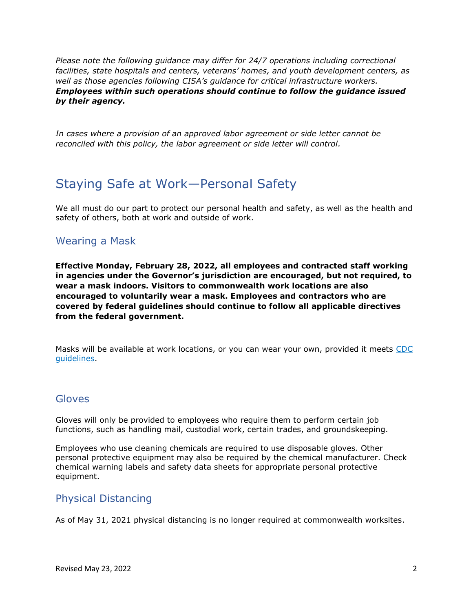*Please note the following guidance may differ for 24/7 operations including correctional facilities, state hospitals and centers, veterans' homes, and youth development centers, as well as those agencies following CISA's guidance for critical infrastructure workers. Employees within such operations should continue to follow the guidance issued by their agency.*

*In cases where a provision of an approved labor agreement or side letter cannot be reconciled with this policy, the labor agreement or side letter will control.* 

# <span id="page-2-0"></span>Staying Safe at Work—Personal Safety

We all must do our part to protect our personal health and safety, as well as the health and safety of others, both at work and outside of work.

## <span id="page-2-1"></span>Wearing a Mask

**Effective Monday, February 28, 2022, all employees and contracted staff working in agencies under the Governor's jurisdiction are encouraged, but not required, to wear a mask indoors. Visitors to commonwealth work locations are also encouraged to voluntarily wear a mask. Employees and contractors who are covered by federal guidelines should continue to follow all applicable directives from the federal government.** 

Masks will be available at work locations, or you can wear your own, provided it meets [CDC](https://www.cdc.gov/coronavirus/2019-ncov/prevent-getting-sick/diy-cloth-face-coverings.html)  [guidelines](https://www.cdc.gov/coronavirus/2019-ncov/prevent-getting-sick/diy-cloth-face-coverings.html). 

## <span id="page-2-2"></span>**Gloves**

Gloves will only be provided to employees who require them to perform certain job functions, such as handling mail, custodial work, certain trades, and groundskeeping.

Employees who use cleaning chemicals are required to use disposable gloves. Other personal protective equipment may also be required by the chemical manufacturer. Check chemical warning labels and safety data sheets for appropriate personal protective equipment.

## <span id="page-2-3"></span>Physical Distancing

As of May 31, 2021 physical distancing is no longer required at commonwealth worksites.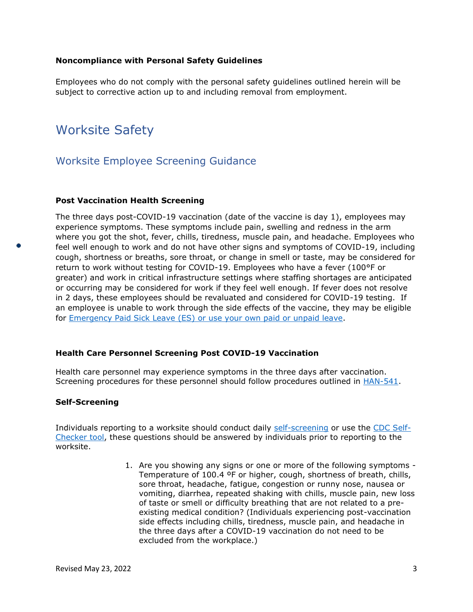#### **Noncompliance with Personal Safety Guidelines**

Employees who do not comply with the personal safety guidelines outlined herein will be subject to corrective action up to and including removal from employment.

# <span id="page-3-0"></span>Worksite Safety

## <span id="page-3-1"></span>Worksite Employee Screening Guidance

#### **Post Vaccination Health Screening**

The three days post-COVID-19 vaccination (date of the vaccine is day 1), employees may experience symptoms. These symptoms include pain, swelling and redness in the arm where you got the shot, fever, chills, tiredness, muscle pain, and headache. Employees who feel well enough to work and do not have other signs and symptoms of COVID-19, including cough, shortness or breaths, sore throat, or change in smell or taste, may be considered for return to work without testing for COVID-19. Employees who have a fever (100°F or greater) and work in critical infrastructure settings where staffing shortages are anticipated or occurring may be considered for work if they feel well enough. If fever does not resolve in 2 days, these employees should be revaluated and considered for COVID-19 testing. If an employee is unable to work through the side effects of the vaccine, they may be eligible for [Emergency Paid Sick Leave \(ES\)](https://www.oa.pa.gov/covidleave/Pages/working-teleworking.aspx) or use your own paid or unpaid leave.

#### **Health Care Personnel Screening Post COVID-19 Vaccination**

Health care personnel may experience symptoms in the three days after vaccination. Screening procedures for these personnel should follow procedures outlined in [HAN-541.](https://www.health.pa.gov/topics/prep/PA-HAN/Pages/2020-HAN.aspx)

#### **Self-Screening**

Individuals reporting to a worksite should conduct daily [self-screening](https://www.oa.pa.gov/returningtowork/Documents/self-screening-form.docx) or use the [CDC Self-](https://www.cdc.gov/coronavirus/2019-ncov/symptoms-testing/symptoms.html)[Checker tool,](https://www.cdc.gov/coronavirus/2019-ncov/symptoms-testing/symptoms.html) these questions should be answered by individuals prior to reporting to the worksite.

> 1. Are you showing any signs or one or more of the following symptoms - Temperature of 100.4 ºF or higher, cough, shortness of breath, chills, sore throat, headache, fatigue, congestion or runny nose, nausea or vomiting, diarrhea, repeated shaking with chills, muscle pain, new loss of taste or smell or difficulty breathing that are not related to a preexisting medical condition? (Individuals experiencing post-vaccination side effects including chills, tiredness, muscle pain, and headache in the three days after a COVID-19 vaccination do not need to be excluded from the workplace.)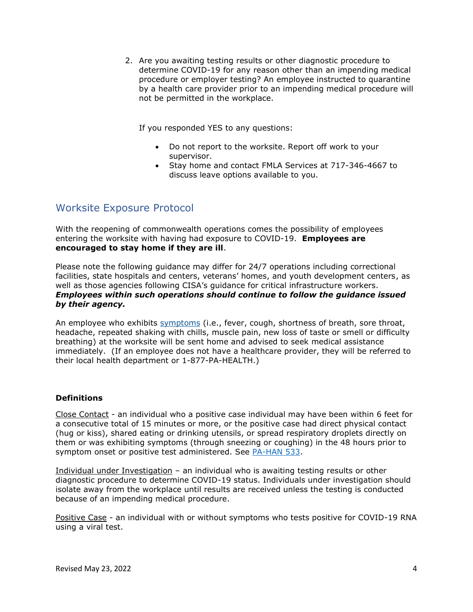2. Are you awaiting testing results or other diagnostic procedure to determine COVID-19 for any reason other than an impending medical procedure or employer testing? An employee instructed to quarantine by a health care provider prior to an impending medical procedure will not be permitted in the workplace.

If you responded YES to any questions:

- Do not report to the worksite. Report off work to your supervisor.
- Stay home and contact FMLA Services at 717-346-4667 to discuss leave options available to you.

## <span id="page-4-0"></span>Worksite Exposure Protocol

With the reopening of commonwealth operations comes the possibility of employees entering the worksite with having had exposure to COVID-19. **Employees are encouraged to stay home if they are ill**.

Please note the following guidance may differ for 24/7 operations including correctional facilities, state hospitals and centers, veterans' homes, and youth development centers, as well as those agencies following CISA's guidance for critical infrastructure workers. *Employees within such operations should continue to follow the guidance issued by their agency.*

An employee who exhibits [symptoms](https://www.cdc.gov/coronavirus/2019-ncov/about/symptoms.html) (i.e., fever, cough, shortness of breath, sore throat, headache, repeated shaking with chills, muscle pain, new loss of taste or smell or difficulty breathing) at the worksite will be sent home and advised to seek medical assistance immediately. (If an employee does not have a healthcare provider, they will be referred to their local health department or 1-877-PA-HEALTH.)

#### **Definitions**

Close Contact - an individual who a positive case individual may have been within 6 feet for a consecutive total of 15 minutes or more, or the positive case had direct physical contact (hug or kiss), shared eating or drinking utensils, or spread respiratory droplets directly on them or was exhibiting symptoms (through sneezing or coughing) in the 48 hours prior to symptom onset or positive test administered. See [PA-HAN 533.](https://www.health.pa.gov/topics/Documents/HAN/2020-PAHAN-533-10-26-ADV%20-%20Additiona.pdf)

Individual under Investigation – an individual who is awaiting testing results or other diagnostic procedure to determine COVID-19 status. Individuals under investigation should isolate away from the workplace until results are received unless the testing is conducted because of an impending medical procedure.

Positive Case - an individual with or without symptoms who tests positive for COVID-19 RNA using a viral test.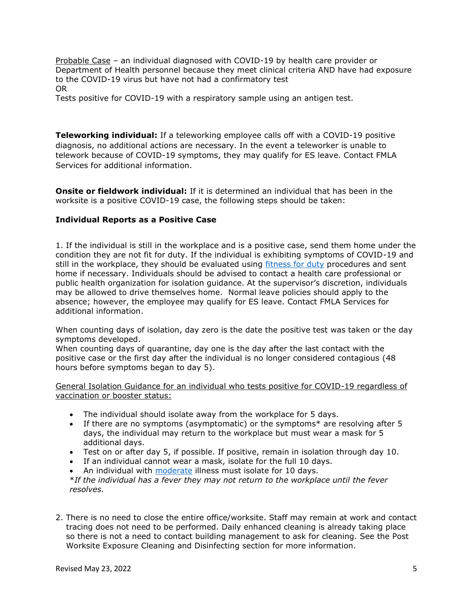Probable Case – an individual diagnosed with COVID-19 by health care provider or Department of Health personnel because they meet clinical criteria AND have had exposure to the COVID-19 virus but have not had a confirmatory test OR

Tests positive for COVID-19 with a respiratory sample using an antigen test.

**Teleworking individual:** If a teleworking employee calls off with a COVID-19 positive diagnosis, no additional actions are necessary. In the event a teleworker is unable to telework because of COVID-19 symptoms, they may qualify for ES leave. Contact FMLA Services for additional information.

**Onsite or fieldwork individual:** If it is determined an individual that has been in the worksite is a positive COVID-19 case, the following steps should be taken:

#### **Individual Reports as a Positive Case**

1. If the individual is still in the workplace and is a positive case, send them home under the condition they are not fit for duty. If the individual is exhibiting symptoms of COVID-19 and still in the workplace, they should be evaluated using [fitness for duty](https://www.oa.pa.gov/Policies/Documents/m505_3.pdf) procedures and sent home if necessary. Individuals should be advised to contact a health care professional or public health organization for isolation guidance. At the supervisor's discretion, individuals may be allowed to drive themselves home. Normal leave policies should apply to the absence; however, the employee may qualify for ES leave. Contact FMLA Services for additional information.

When counting days of isolation, day zero is the date the positive test was taken or the day symptoms developed.

When counting days of quarantine, day one is the day after the last contact with the positive case or the first day after the individual is no longer considered contagious (48 hours before symptoms began to day 5).

General Isolation Guidance for an individual who tests positive for COVID-19 regardless of vaccination or booster status:

- The individual should isolate away from the workplace for 5 days.
- If there are no symptoms (asymptomatic) or the symptoms\* are resolving after 5 days, the individual may return to the workplace but must wear a mask for 5 additional days.
- Test on or after day 5, if possible. If positive, remain in isolation through day 10.
- If an individual cannot wear a mask, isolate for the full 10 days.
- An individual with [moderate](https://www.covid19treatmentguidelines.nih.gov/overview/clinical-spectrum/) illness must isolate for 10 days.

\**If the individual has a fever they may not return to the workplace until the fever resolves.*

2. There is no need to close the entire office/worksite. Staff may remain at work and contact tracing does not need to be performed. Daily enhanced cleaning is already taking place so there is not a need to contact building management to ask for cleaning. See the Post Worksite Exposure Cleaning and Disinfecting section for more information.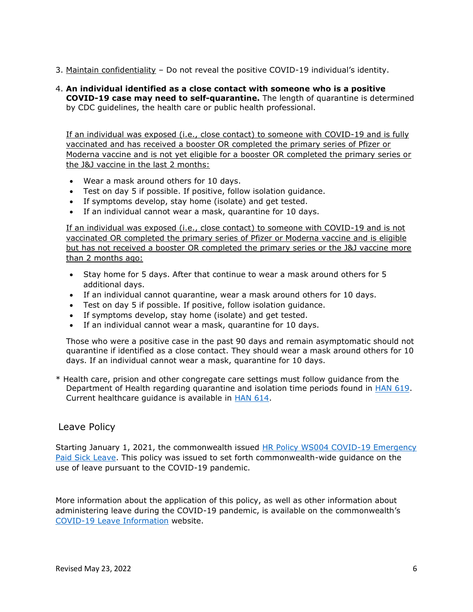- 3. Maintain confidentiality Do not reveal the positive COVID-19 individual's identity.
- 4. **An individual identified as a close contact with someone who is a positive COVID-19 case may need to self-quarantine.** The length of quarantine is determined by CDC guidelines, the health care or public health professional.

If an individual was exposed (i.e., close contact) to someone with COVID-19 and is fully vaccinated and has received a booster OR completed the primary series of Pfizer or Moderna vaccine and is not yet eligible for a booster OR completed the primary series or the J&J vaccine in the last 2 months:

- Wear a mask around others for 10 days.
- Test on day 5 if possible. If positive, follow isolation guidance.
- If symptoms develop, stay home (isolate) and get tested.
- If an individual cannot wear a mask, quarantine for 10 days.

If an individual was exposed (i.e., close contact) to someone with COVID-19 and is not vaccinated OR completed the primary series of Pfizer or Moderna vaccine and is eligible but has not received a booster OR completed the primary series or the J&J vaccine more than 2 months ago:

- Stay home for 5 days. After that continue to wear a mask around others for 5 additional days.
- If an individual cannot quarantine, wear a mask around others for 10 days.
- Test on day 5 if possible. If positive, follow isolation guidance.
- If symptoms develop, stay home (isolate) and get tested.
- If an individual cannot wear a mask, quarantine for 10 days.

Those who were a positive case in the past 90 days and remain asymptomatic should not quarantine if identified as a close contact. They should wear a mask around others for 10 days. If an individual cannot wear a mask, quarantine for 10 days.

\* Health care, prision and other congregate care settings must follow guidance from the Department of Health regarding quarantine and isolation time periods found in [HAN 619.](https://www.health.pa.gov/topics/Documents/HAN/2022-619-1-7-UPD-COVID-19%20Isolation.pdf) Current healthcare guidance is available in **HAN 614**.

#### Leave Policy

Starting January 1, 2021, the commonwealth issued [HR Policy WS004 COVID-19 Emergency](https://www.oa.pa.gov/Policies/hr/Documents/WS004.pdf)  [Paid Sick Leave.](https://www.oa.pa.gov/Policies/hr/Documents/WS004.pdf) This policy was issued to set forth commonwealth-wide guidance on the use of leave pursuant to the COVID-19 pandemic.

More information about the application of this policy, as well as other information about administering leave during the COVID-19 pandemic, is available on the commonwealth's [COVID-19 Leave Information](https://www.oa.pa.gov/covidleave/Pages/default.aspx) website.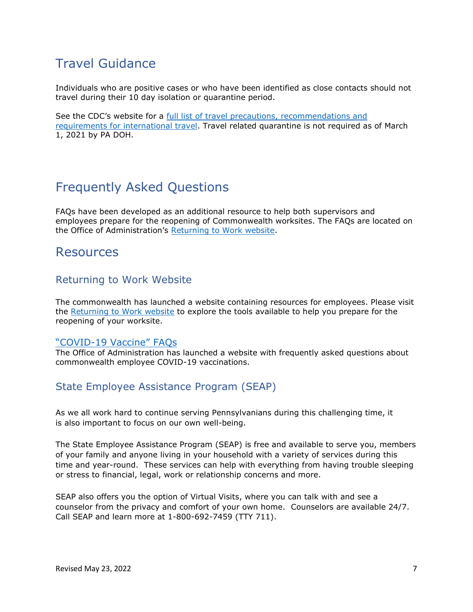# <span id="page-7-0"></span>Travel Guidance

Individuals who are positive cases or who have been identified as close contacts should not travel during their 10 day isolation or quarantine period.

See the CDC's website for a [full list of travel precautions,](https://www.cdc.gov/coronavirus/2019-ncov/travelers/index.html) recommendations and requirements for international travel. Travel related quarantine is not required as of March 1, 2021 by PA DOH.

# <span id="page-7-1"></span>Frequently Asked Questions

FAQs have been developed as an additional resource to help both supervisors and employees prepare for the reopening of Commonwealth worksites. The FAQs are located on the Office of Administration's [Returning to Work website.](https://www.oa.pa.gov/returningtowork/Pages/default.aspx)

# <span id="page-7-2"></span>Resources

## <span id="page-7-3"></span>Returning to Work Website

The commonwealth has launched a website containing resources for employees. Please visit the [Returning to Work website](https://www.oa.pa.gov/returningtowork/Pages/default.aspx) to explore the tools available to help you prepare for the reopening of your worksite.

#### "COVID-[19 Vaccine" FAQs](https://www.oa.pa.gov/covidvaccine/Pages/default.aspx)

The Office of Administration has launched a website with frequently asked questions about commonwealth employee COVID-19 vaccinations.

## <span id="page-7-4"></span>State Employee Assistance Program (SEAP)

As we all work hard to continue serving Pennsylvanians during this challenging time, it is also important to focus on our own well-being.

The State Employee Assistance Program (SEAP) is free and available to serve you, members of your family and anyone living in your household with a variety of services during this time and year-round. These services can help with everything from having trouble sleeping or stress to financial, legal, work or relationship concerns and more.

SEAP also offers you the option of Virtual Visits, where you can talk with and see a counselor from the privacy and comfort of your own home. Counselors are available 24/7. Call SEAP and learn more at 1-800-692-7459 (TTY 711).